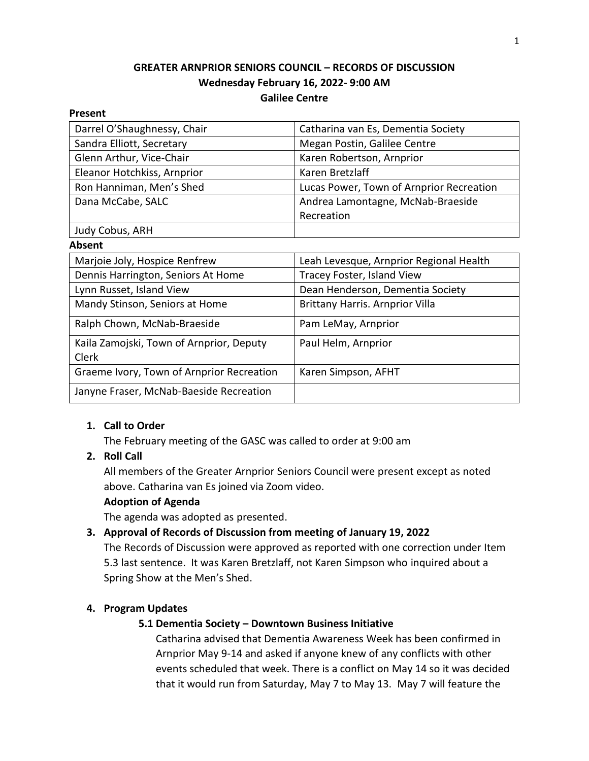# **GREATER ARNPRIOR SENIORS COUNCIL – RECORDS OF DISCUSSION Wednesday February 16, 2022- 9:00 AM Galilee Centre**

#### **Present**

| Darrel O'Shaughnessy, Chair               | Catharina van Es, Dementia Society       |
|-------------------------------------------|------------------------------------------|
| Sandra Elliott, Secretary                 | Megan Postin, Galilee Centre             |
| Glenn Arthur, Vice-Chair                  | Karen Robertson, Arnprior                |
| Eleanor Hotchkiss, Arnprior               | Karen Bretzlaff                          |
| Ron Hanniman, Men's Shed                  | Lucas Power, Town of Arnprior Recreation |
| Dana McCabe, SALC                         | Andrea Lamontagne, McNab-Braeside        |
|                                           | Recreation                               |
| Judy Cobus, ARH                           |                                          |
| Absent                                    |                                          |
| Marjoie Joly, Hospice Renfrew             | Leah Levesque, Arnprior Regional Health  |
| Dennis Harrington, Seniors At Home        | Tracey Foster, Island View               |
| Lynn Russet, Island View                  | Dean Henderson, Dementia Society         |
| Mandy Stinson, Seniors at Home            | <b>Brittany Harris. Arnprior Villa</b>   |
| Ralph Chown, McNab-Braeside               | Pam LeMay, Arnprior                      |
| Kaila Zamojski, Town of Arnprior, Deputy  | Paul Helm, Arnprior                      |
| Clerk                                     |                                          |
| Graeme Ivory, Town of Arnprior Recreation | Karen Simpson, AFHT                      |
| Janyne Fraser, McNab-Baeside Recreation   |                                          |

# **1. Call to Order**

The February meeting of the GASC was called to order at 9:00 am

# **2. Roll Call**

All members of the Greater Arnprior Seniors Council were present except as noted above. Catharina van Es joined via Zoom video.

# **Adoption of Agenda**

The agenda was adopted as presented.

# **3. Approval of Records of Discussion from meeting of January 19, 2022**

The Records of Discussion were approved as reported with one correction under Item 5.3 last sentence. It was Karen Bretzlaff, not Karen Simpson who inquired about a Spring Show at the Men's Shed.

# **4. Program Updates**

# **5.1 Dementia Society – Downtown Business Initiative**

Catharina advised that Dementia Awareness Week has been confirmed in Arnprior May 9-14 and asked if anyone knew of any conflicts with other events scheduled that week. There is a conflict on May 14 so it was decided that it would run from Saturday, May 7 to May 13. May 7 will feature the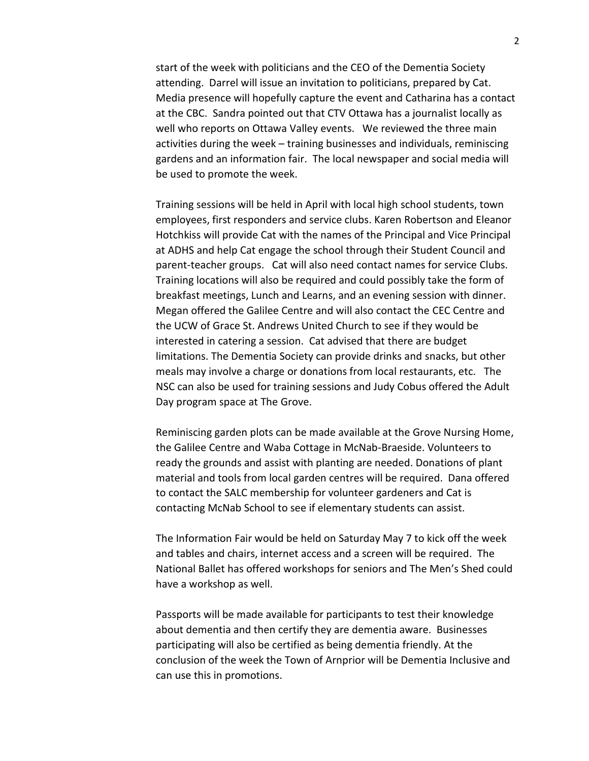start of the week with politicians and the CEO of the Dementia Society attending. Darrel will issue an invitation to politicians, prepared by Cat. Media presence will hopefully capture the event and Catharina has a contact at the CBC. Sandra pointed out that CTV Ottawa has a journalist locally as well who reports on Ottawa Valley events. We reviewed the three main activities during the week – training businesses and individuals, reminiscing gardens and an information fair. The local newspaper and social media will be used to promote the week.

Training sessions will be held in April with local high school students, town employees, first responders and service clubs. Karen Robertson and Eleanor Hotchkiss will provide Cat with the names of the Principal and Vice Principal at ADHS and help Cat engage the school through their Student Council and parent-teacher groups. Cat will also need contact names for service Clubs. Training locations will also be required and could possibly take the form of breakfast meetings, Lunch and Learns, and an evening session with dinner. Megan offered the Galilee Centre and will also contact the CEC Centre and the UCW of Grace St. Andrews United Church to see if they would be interested in catering a session. Cat advised that there are budget limitations. The Dementia Society can provide drinks and snacks, but other meals may involve a charge or donations from local restaurants, etc. The NSC can also be used for training sessions and Judy Cobus offered the Adult Day program space at The Grove.

Reminiscing garden plots can be made available at the Grove Nursing Home, the Galilee Centre and Waba Cottage in McNab-Braeside. Volunteers to ready the grounds and assist with planting are needed. Donations of plant material and tools from local garden centres will be required. Dana offered to contact the SALC membership for volunteer gardeners and Cat is contacting McNab School to see if elementary students can assist.

The Information Fair would be held on Saturday May 7 to kick off the week and tables and chairs, internet access and a screen will be required. The National Ballet has offered workshops for seniors and The Men's Shed could have a workshop as well.

Passports will be made available for participants to test their knowledge about dementia and then certify they are dementia aware. Businesses participating will also be certified as being dementia friendly. At the conclusion of the week the Town of Arnprior will be Dementia Inclusive and can use this in promotions.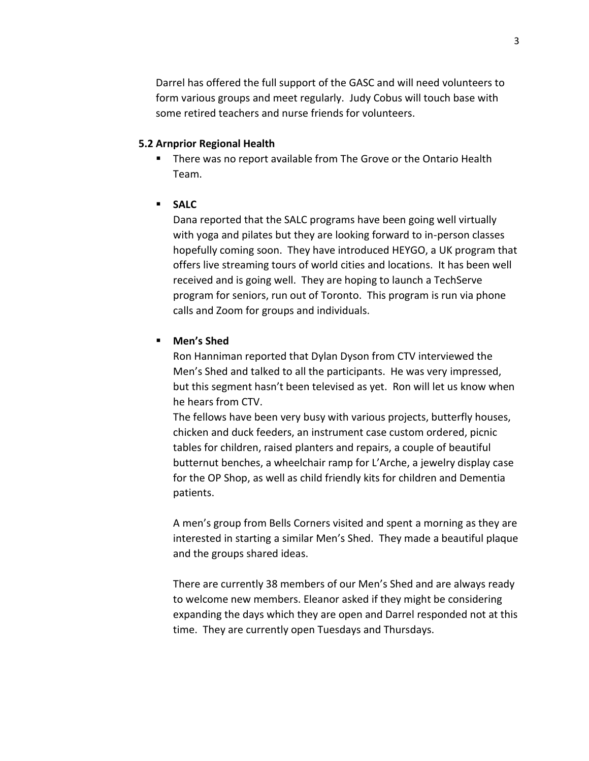Darrel has offered the full support of the GASC and will need volunteers to form various groups and meet regularly. Judy Cobus will touch base with some retired teachers and nurse friends for volunteers.

## **5.2 Arnprior Regional Health**

- **E** There was no report available from The Grove or the Ontario Health Team.
- **SALC**

Dana reported that the SALC programs have been going well virtually with yoga and pilates but they are looking forward to in-person classes hopefully coming soon. They have introduced HEYGO, a UK program that offers live streaming tours of world cities and locations. It has been well received and is going well. They are hoping to launch a TechServe program for seniors, run out of Toronto. This program is run via phone calls and Zoom for groups and individuals.

# ▪ **Men's Shed**

Ron Hanniman reported that Dylan Dyson from CTV interviewed the Men's Shed and talked to all the participants. He was very impressed, but this segment hasn't been televised as yet. Ron will let us know when he hears from CTV.

The fellows have been very busy with various projects, butterfly houses, chicken and duck feeders, an instrument case custom ordered, picnic tables for children, raised planters and repairs, a couple of beautiful butternut benches, a wheelchair ramp for L'Arche, a jewelry display case for the OP Shop, as well as child friendly kits for children and Dementia patients.

A men's group from Bells Corners visited and spent a morning as they are interested in starting a similar Men's Shed. They made a beautiful plaque and the groups shared ideas.

There are currently 38 members of our Men's Shed and are always ready to welcome new members. Eleanor asked if they might be considering expanding the days which they are open and Darrel responded not at this time. They are currently open Tuesdays and Thursdays.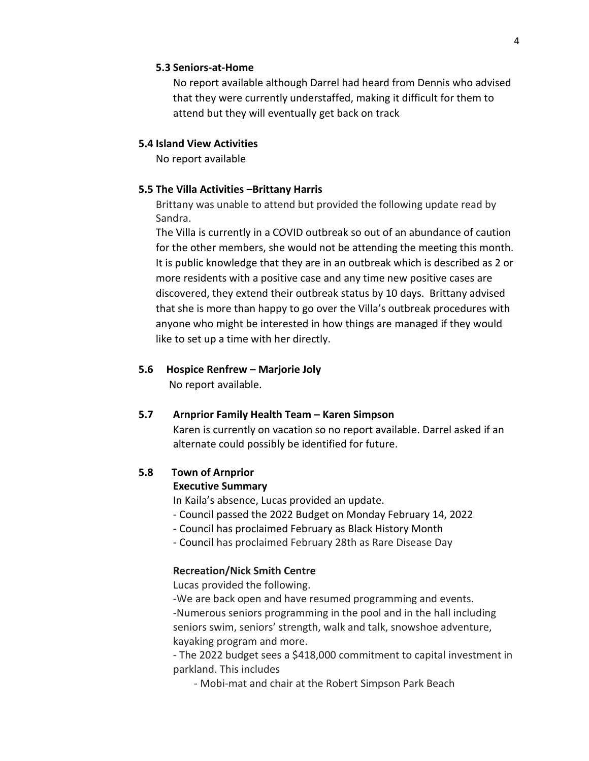#### **5.3 Seniors-at-Home**

No report available although Darrel had heard from Dennis who advised that they were currently understaffed, making it difficult for them to attend but they will eventually get back on track

#### **5.4 Island View Activities**

No report available

#### **5.5 The Villa Activities –Brittany Harris**

Brittany was unable to attend but provided the following update read by Sandra.

The Villa is currently in a COVID outbreak so out of an abundance of caution for the other members, she would not be attending the meeting this month. It is public knowledge that they are in an outbreak which is described as 2 or more residents with a positive case and any time new positive cases are discovered, they extend their outbreak status by 10 days. Brittany advised that she is more than happy to go over the Villa's outbreak procedures with anyone who might be interested in how things are managed if they would like to set up a time with her directly.

#### **5.6 Hospice Renfrew – Marjorie Joly**

No report available.

#### **5.7 Arnprior Family Health Team – Karen Simpson**

Karen is currently on vacation so no report available. Darrel asked if an alternate could possibly be identified for future.

## **5.8 Town of Arnprior**

#### **Executive Summary**

In Kaila's absence, Lucas provided an update.

- Council passed the 2022 Budget on Monday February 14, 2022
- Council has proclaimed February as Black History Month
- Council has proclaimed February 28th as Rare Disease Day

## **Recreation/Nick Smith Centre**

Lucas provided the following.

-We are back open and have resumed programming and events. -Numerous seniors programming in the pool and in the hall including seniors swim, seniors' strength, walk and talk, snowshoe adventure, kayaking program and more.

- The 2022 budget sees a \$418,000 commitment to capital investment in parkland. This includes

- Mobi-mat and chair at the Robert Simpson Park Beach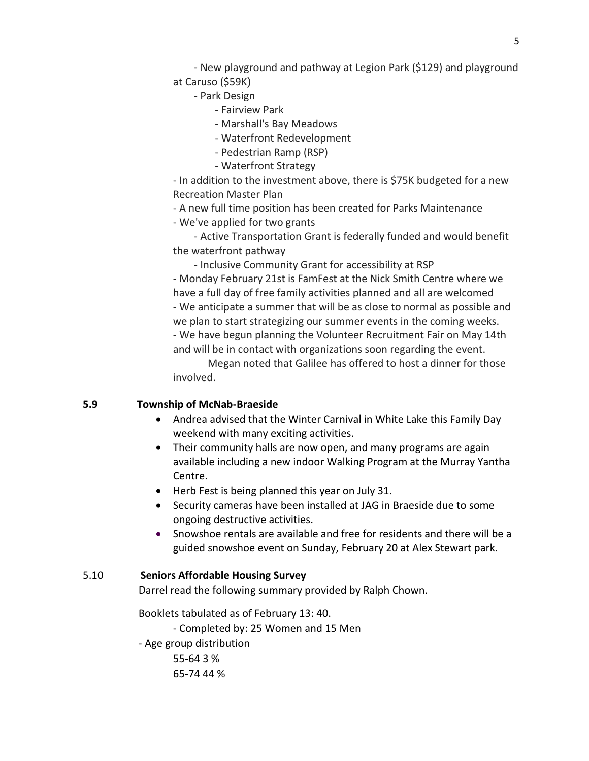- New playground and pathway at Legion Park (\$129) and playground at Caruso (\$59K)

- Park Design

- Fairview Park
- Marshall's Bay Meadows
- Waterfront Redevelopment
- Pedestrian Ramp (RSP)
- Waterfront Strategy

- In addition to the investment above, there is \$75K budgeted for a new Recreation Master Plan

- A new full time position has been created for Parks Maintenance

- We've applied for two grants

- Active Transportation Grant is federally funded and would benefit the waterfront pathway

- Inclusive Community Grant for accessibility at RSP

- Monday February 21st is FamFest at the Nick Smith Centre where we have a full day of free family activities planned and all are welcomed - We anticipate a summer that will be as close to normal as possible and we plan to start strategizing our summer events in the coming weeks. - We have begun planning the Volunteer Recruitment Fair on May 14th and will be in contact with organizations soon regarding the event.

Megan noted that Galilee has offered to host a dinner for those involved.

## **5.9 Township of McNab-Braeside**

- Andrea advised that the Winter Carnival in White Lake this Family Day weekend with many exciting activities.
- Their community halls are now open, and many programs are again available including a new indoor Walking Program at the Murray Yantha Centre.
- Herb Fest is being planned this year on July 31.
- Security cameras have been installed at JAG in Braeside due to some ongoing destructive activities.
- Snowshoe rentals are available and free for residents and there will be a guided snowshoe event on Sunday, February 20 at Alex Stewart park.

#### 5.10 **Seniors Affordable Housing Survey**

Darrel read the following summary provided by Ralph Chown.

Booklets tabulated as of February 13: 40.

- Completed by: 25 Women and 15 Men

- Age group distribution

55-64 3 % 65-74 44 %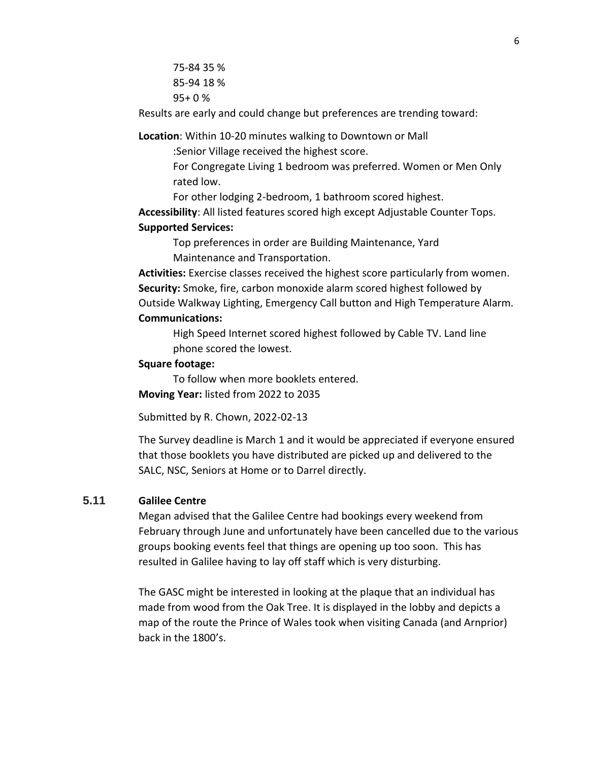75-84 35 % 85-94 18 % 95+ 0 %

Results are early and could change but preferences are trending toward:

**Location**: Within 10-20 minutes walking to Downtown or Mall

:Senior Village received the highest score.

For Congregate Living 1 bedroom was preferred. Women or Men Only rated low.

For other lodging 2-bedroom, 1 bathroom scored highest.

**Accessibility**: All listed features scored high except Adjustable Counter Tops.

#### **Supported Services:**

Top preferences in order are Building Maintenance, Yard Maintenance and Transportation.

**Activities:** Exercise classes received the highest score particularly from women. **Security:** Smoke, fire, carbon monoxide alarm scored highest followed by Outside Walkway Lighting, Emergency Call button and High Temperature Alarm. **Communications:**

High Speed Internet scored highest followed by Cable TV. Land line phone scored the lowest.

## **Square footage:**

To follow when more booklets entered. **Moving Year:** listed from 2022 to 2035

Submitted by R. Chown, 2022-02-13

The Survey deadline is March 1 and it would be appreciated if everyone ensured that those booklets you have distributed are picked up and delivered to the SALC, NSC, Seniors at Home or to Darrel directly.

## **5.11 Galilee Centre**

Megan advised that the Galilee Centre had bookings every weekend from February through June and unfortunately have been cancelled due to the various groups booking events feel that things are opening up too soon. This has resulted in Galilee having to lay off staff which is very disturbing.

The GASC might be interested in looking at the plaque that an individual has made from wood from the Oak Tree. It is displayed in the lobby and depicts a map of the route the Prince of Wales took when visiting Canada (and Arnprior) back in the 1800's.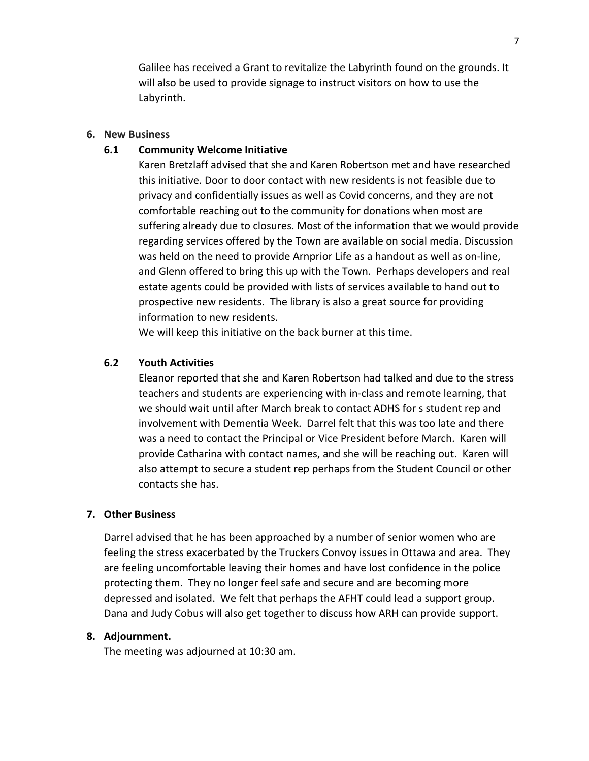Galilee has received a Grant to revitalize the Labyrinth found on the grounds. It will also be used to provide signage to instruct visitors on how to use the Labyrinth.

### **6. New Business**

## **6.1 Community Welcome Initiative**

Karen Bretzlaff advised that she and Karen Robertson met and have researched this initiative. Door to door contact with new residents is not feasible due to privacy and confidentially issues as well as Covid concerns, and they are not comfortable reaching out to the community for donations when most are suffering already due to closures. Most of the information that we would provide regarding services offered by the Town are available on social media. Discussion was held on the need to provide Arnprior Life as a handout as well as on-line, and Glenn offered to bring this up with the Town. Perhaps developers and real estate agents could be provided with lists of services available to hand out to prospective new residents. The library is also a great source for providing information to new residents.

We will keep this initiative on the back burner at this time.

## **6.2 Youth Activities**

Eleanor reported that she and Karen Robertson had talked and due to the stress teachers and students are experiencing with in-class and remote learning, that we should wait until after March break to contact ADHS for s student rep and involvement with Dementia Week. Darrel felt that this was too late and there was a need to contact the Principal or Vice President before March. Karen will provide Catharina with contact names, and she will be reaching out. Karen will also attempt to secure a student rep perhaps from the Student Council or other contacts she has.

## **7. Other Business**

Darrel advised that he has been approached by a number of senior women who are feeling the stress exacerbated by the Truckers Convoy issues in Ottawa and area. They are feeling uncomfortable leaving their homes and have lost confidence in the police protecting them. They no longer feel safe and secure and are becoming more depressed and isolated. We felt that perhaps the AFHT could lead a support group. Dana and Judy Cobus will also get together to discuss how ARH can provide support.

#### **8. Adjournment.**

The meeting was adjourned at 10:30 am.